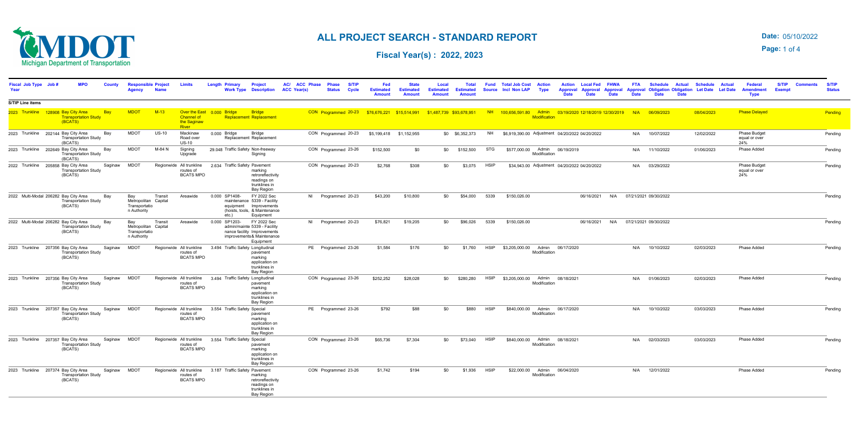### 05/10/2022 **Date:**

**Page:** 1 of 4



### **ALL PROJECT SEARCH - STANDARD REPORT**

**Fiscal Year(s) : 2022, 2023** 

| Fiscal Job Type Job #<br>Year |                                                  | <b>MPO</b>                  |              | <b>Responsible Project</b><br>Agency                        | <b>Name</b> | <b>Limits</b>                                                                               |               | Primary<br><b>Work Type</b>                                                                                      | <b>Project</b><br><b>Description</b>                                              | AC/ ACC Phase<br><b>ACC Year(s)</b> | <b>Phase</b><br><b>Status</b>                                           | <b>S/TIP</b><br>Cycle | Fed<br><b>Estimated</b><br><b>Amount</b> | <b>State</b><br><b>Estimated</b><br><b>Amount</b> | Local<br><b>Estimated</b><br><b>Amount</b> | <b>Total</b><br><b>Estimated</b><br><b>Amount</b> | <b>Fund</b><br>Source | <b>Total Job Cost</b><br><b>Incl Non LAP</b>                               | <b>Action</b><br><b>Type</b>                  | <b>Action</b><br>Annroval<br><b>Date</b> | <b>Local Fed</b><br>Approval<br><b>Date</b> | <b>FHWA</b><br><b>Approval</b><br><b>Date</b> | <b>FTA</b><br><b>Approval</b><br><b>Date</b> | <b>Schedule</b><br><b>Obligation Obligation Let Date</b><br><b>Date</b> | <b>Actual</b><br><b>Date</b> | <b>Schedule</b> | <b>Actual</b><br><b>Let Date</b> | <b>Federal</b><br><b>Amendment</b><br>Type  | <b>S/TIP</b><br><b>Exempt</b> | <b>Status</b> |
|-------------------------------|--------------------------------------------------|-----------------------------|--------------|-------------------------------------------------------------|-------------|---------------------------------------------------------------------------------------------|---------------|------------------------------------------------------------------------------------------------------------------|-----------------------------------------------------------------------------------|-------------------------------------|-------------------------------------------------------------------------|-----------------------|------------------------------------------|---------------------------------------------------|--------------------------------------------|---------------------------------------------------|-----------------------|----------------------------------------------------------------------------|-----------------------------------------------|------------------------------------------|---------------------------------------------|-----------------------------------------------|----------------------------------------------|-------------------------------------------------------------------------|------------------------------|-----------------|----------------------------------|---------------------------------------------|-------------------------------|---------------|
| <b>S/TIP Line items</b>       |                                                  |                             |              |                                                             |             |                                                                                             |               |                                                                                                                  |                                                                                   |                                     |                                                                         |                       |                                          |                                                   |                                            |                                                   |                       |                                                                            |                                               |                                          |                                             |                                               |                                              |                                                                         |                              |                 |                                  |                                             |                               |               |
|                               | 2023 Trunkline 128908 Bay City Area<br>(BCATS)   | <b>Transportation Study</b> | Bay          | <b>MDOT</b>                                                 | $M-13$      | Over the East 0.000 Bridge<br><b>Channel of</b><br>the Saginaw<br><b>River</b>              |               | <b>Bridge</b><br><b>Replacement Replacement</b>                                                                  |                                                                                   |                                     | CON Programmed 20-23 \$76,676,221 \$15,514,991 \$1,487,739 \$93,678,951 |                       |                                          |                                                   |                                            |                                                   |                       | NH  100,656,591.80 Admin  03/19/2020 12/18/2019 12/30/2019 N/A  06/09/2023 | <b>Modification</b>                           |                                          |                                             |                                               |                                              |                                                                         |                              | 08/04/2023      |                                  | <b>Phase Delayed</b>                        |                               | Pending       |
|                               | 2023 Trunkline 202144 Bay City Area<br>(BCATS)   | <b>Transportation Study</b> | Bay          | <b>MDOT</b>                                                 | $US-10$     | Mackinaw<br>Road over<br><b>US-10</b>                                                       | 0.000 Bridge  | Replacement Replacement                                                                                          | Bridge                                                                            |                                     | CON Programmed 20-23                                                    |                       | \$5,199,418 \$1,152,955                  |                                                   |                                            | \$0 \$6,352,373                                   | <b>NH</b>             | \$6,919,390.00 Adjustment 04/20/2022 04/20/2022                            |                                               |                                          |                                             |                                               | N/A                                          | 10/07/2022                                                              |                              | 12/02/2022      |                                  | <b>Phase Budget</b><br>equal or over<br>24% |                               | Pending       |
|                               | 2023 Trunkline 202649 Bay City Area<br>(BCATS)   | <b>Transportation Study</b> | Bay          | <b>MDOT</b>                                                 | M-84 N      | Signing<br>Upgrade                                                                          |               | 29.048 Traffic Safety Non-freeway                                                                                | Signing                                                                           |                                     | CON Programmed 23-26                                                    |                       | \$152,500                                | \$0                                               |                                            | \$0 \$152,500                                     | STG                   | \$577,000.00                                                               | Modification                                  | Admin 06/19/2019                         |                                             |                                               | N/A                                          | 11/10/2022                                                              |                              | 01/06/2023      |                                  | Phase Added                                 |                               | Pending       |
|                               | 2022 Trunkline 205858 Bay City Area<br>(BCATS)   | <b>Transportation Study</b> | Saginaw      | <b>MDOT</b>                                                 |             | Regionwide All trunkline<br>routes of<br><b>BCATS MPO</b>                                   |               | 2.634 Traffic Safety Pavement                                                                                    | marking<br>retroreflectivity<br>readings on<br>trunklines in<br><b>Bay Region</b> |                                     | CON Programmed 20-23                                                    |                       | \$2,768                                  | \$308                                             | \$0                                        | \$3,075                                           | <b>HSIP</b>           |                                                                            | \$34,943.00 Adjustment 04/20/2022 04/20/2022  |                                          |                                             |                                               |                                              | N/A 03/29/2022                                                          |                              |                 |                                  | Phase Budget<br>equal or over<br>24%        |                               | Pending       |
|                               | 2022 Multi-Modal 206282 Bay City Area<br>(BCATS) | <b>Transportation Study</b> | Bay          | Bay<br>Metropolitan Capital<br>Transportatio<br>n Authority | Transit     | Areawide                                                                                    |               | 0.000 SP1408-<br>maintenance 5339 - Facility<br>equipment Improvements<br>(hoists, tools, & Maintenance<br>etc.) | FY 2022 Sec<br>Equipment                                                          |                                     | NI Programmed 20-23                                                     |                       | \$43,200                                 | \$10,800                                          | \$0                                        | \$54,000                                          | 5339                  | \$150,026.00                                                               |                                               |                                          | 06/16/2021                                  |                                               |                                              | N/A 07/21/2021 09/30/2022                                               |                              |                 |                                  |                                             |                               | Pendina       |
|                               | 2022 Multi-Modal 206282 Bay City Area<br>(BCATS) | <b>Transportation Study</b> | Bay          | Bay<br>Metropolitan Capital<br>Transportatio<br>n Authority | Transit     | Areawide                                                                                    | 0.000 SP1203- | admin/mainte 5339 - Facility<br>nance facility Improvements<br>improvements & Maintenance                        | FY 2022 Sec<br>Equipment                                                          |                                     | NI Programmed 20-23                                                     |                       | \$76,821                                 | \$19,205                                          | \$0                                        | \$96,026                                          | 5339                  | \$150,026.00                                                               |                                               |                                          | 06/16/2021                                  |                                               |                                              | N/A 07/21/2021 09/30/2022                                               |                              |                 |                                  |                                             |                               | Pending       |
|                               | 2023 Trunkline 207356 Bay City Area<br>(BCATS)   | <b>Transportation Study</b> | Saginaw      | <b>MDOT</b>                                                 |             | Regionwide All trunkline<br>routes of<br><b>BCATS MPO</b>                                   |               | 3.494 Traffic Safety Longitudinal                                                                                | pavement<br>marking<br>application on<br>trunklines in<br><b>Bay Region</b>       |                                     | PE Programmed 23-26                                                     |                       | \$1,584                                  | \$176                                             | \$0                                        | \$1,760                                           | <b>HSIP</b>           | \$3,205,000.00 Admin 06/17/2020                                            | Modification                                  |                                          |                                             |                                               | N/A                                          | 10/10/2022                                                              |                              | 02/03/2023      |                                  | Phase Added                                 |                               | Pending       |
|                               | 2023 Trunkline 207356 Bay City Area<br>(BCATS)   | <b>Transportation Study</b> | Saginaw MDOT |                                                             |             | Regionwide All trunkline 3.494 Traffic Safety Longitudinal<br>routes of<br><b>BCATS MPO</b> |               |                                                                                                                  | pavement<br>marking<br>application on<br>trunklines in<br>Bay Region              |                                     | CON Programmed 23-26                                                    |                       | \$252,252                                | \$28,028                                          |                                            | \$0 \$280,280                                     | <b>HSIP</b>           | \$3,205,000.00                                                             | Admin<br>Modification                         | 08/18/2021                               |                                             |                                               | N/A                                          | 01/06/2023                                                              |                              | 02/03/2023      |                                  | Phase Added                                 |                               | Pending       |
|                               | 2023 Trunkline 207357 Bay City Area<br>(BCATS)   | <b>Transportation Study</b> | Saginaw MDOT |                                                             |             | Regionwide All trunkline<br>routes of<br><b>BCATS MPO</b>                                   |               | 3.554 Traffic Safety Special                                                                                     | pavement<br>marking<br>application on<br>trunklines in<br>Bay Region              |                                     | PE Programmed 23-26                                                     |                       | \$792                                    | \$88                                              | \$0                                        | \$880                                             | <b>HSIP</b>           |                                                                            | \$840,000.00 Admin<br>Modification            | 06/17/2020                               |                                             |                                               |                                              | N/A 10/10/2022                                                          |                              | 03/03/2023      |                                  | Phase Added                                 |                               | Pending       |
|                               | 2023 Trunkline 207357 Bay City Area<br>(BCATS)   | <b>Transportation Study</b> | Saginaw MDOT |                                                             |             | Regionwide All trunkline<br>routes of<br><b>BCATS MPO</b>                                   |               | 3.554 Traffic Safety Special                                                                                     | pavement<br>marking<br>application on<br>trunklines in<br>Bay Region              |                                     | CON Programmed 23-26                                                    |                       | \$65,736                                 | \$7,304                                           | \$0                                        | \$73,040                                          | <b>HSIP</b>           |                                                                            | \$840,000.00 Admin 08/18/2021<br>Modification |                                          |                                             |                                               |                                              | N/A 02/03/2023                                                          |                              | 03/03/2023      |                                  | Phase Added                                 |                               | Pendina       |
|                               | 2023 Trunkline 207374 Bay City Area<br>(BCATS)   | <b>Transportation Study</b> | Saginaw MDOT |                                                             |             | Regionwide All trunkline 3.187 Traffic Safety Pavement<br>routes of<br><b>BCATS MPO</b>     |               |                                                                                                                  | marking<br>retroreflectivity<br>readings on<br>trunklines in<br>Bay Region        |                                     | CON Programmed 23-26                                                    |                       | \$1,742                                  | \$194                                             | \$0                                        | \$1,936                                           | <b>HSIP</b>           |                                                                            | \$22,000.00 Admin<br>Modification             | 06/04/2020                               |                                             |                                               |                                              | N/A 12/01/2022                                                          |                              |                 |                                  | Phase Added                                 |                               | Pending       |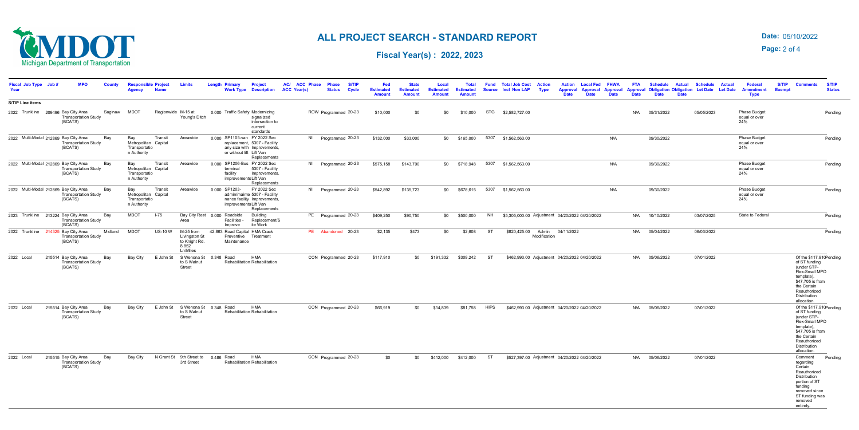#### 05/10/2022 **Date:**

**Page:** 2 of 4



# **ALL PROJECT SEARCH - STANDARD REPORT**

**Fiscal Year(s) : 2022, 2023** 

| Fiscal Job Type Job #<br>Year         | <b>MPO</b>                                                     | <b>County</b> | <b>Responsible Project</b><br>Agency                        | <b>Name</b>    | <b>Limits</b>                                                    | <b>Length Primary</b>                                   | <b>Project</b><br><b>Work Type Description</b>                                                                       | AC/ ACC Phase<br><b>ACC Year(s)</b> | <b>S/TIF</b><br><b>Phase</b><br><b>Status</b><br><b>Cycle</b> | Fed<br><b>Estimated</b><br><b>Amount</b> | <b>State</b><br><b>Estimated</b><br><b>Amount</b> | Local<br><b>Estimated</b><br><b>Amount</b> | <b>Total</b><br><b>Estimated</b><br><b>Amount</b> | Fund        | <b>Total Job Cost</b><br>Source Incl Non LAP | <b>Action</b><br><b>Type</b> | <b>Action</b><br>Approval Approval Approval Approval Obligation Obligation Let Date<br><b>Date</b> | <b>Local Fed</b><br><b>Date</b> | <b>FHWA</b><br><b>Date</b> | <b>FTA</b><br><b>Date</b> | <b>Schedule</b><br><b>Date</b> | <b>Actual</b><br><b>Date</b> | <b>Schedule</b><br><b>Actual</b><br><b>Let Date</b> | <b>Federal</b><br><b>Amendment</b><br><b>Type</b> | <b>S/TIP</b><br><b>Exempt</b> | <b>Comments</b>                                                                                                                                        | <b>S/TIP</b><br><b>Status</b> |
|---------------------------------------|----------------------------------------------------------------|---------------|-------------------------------------------------------------|----------------|------------------------------------------------------------------|---------------------------------------------------------|----------------------------------------------------------------------------------------------------------------------|-------------------------------------|---------------------------------------------------------------|------------------------------------------|---------------------------------------------------|--------------------------------------------|---------------------------------------------------|-------------|----------------------------------------------|------------------------------|----------------------------------------------------------------------------------------------------|---------------------------------|----------------------------|---------------------------|--------------------------------|------------------------------|-----------------------------------------------------|---------------------------------------------------|-------------------------------|--------------------------------------------------------------------------------------------------------------------------------------------------------|-------------------------------|
| <b>S/TIP Line items</b>               |                                                                |               |                                                             |                |                                                                  |                                                         |                                                                                                                      |                                     |                                                               |                                          |                                                   |                                            |                                                   |             |                                              |                              |                                                                                                    |                                 |                            |                           |                                |                              |                                                     |                                                   |                               |                                                                                                                                                        |                               |
| 2022 Trunkline 209496 Bay City Area   | <b>Transportation Study</b><br>(BCATS)                         | Saginaw       | <b>MDOT</b>                                                 |                | Regionwide M-15 at<br>Young's Ditch                              | 0.000 Traffic Safety Modernizing                        | signalized<br>intersection to<br>current<br>standards                                                                |                                     | ROW Programmed 20-23                                          | \$10,000                                 | \$0                                               | \$0                                        | \$10,000                                          |             | STG \$2,582,727.00                           |                              |                                                                                                    |                                 |                            | N/A                       | 05/31/2022                     |                              | 05/05/2023                                          | Phase Budget<br>equal or over<br>24%              |                               |                                                                                                                                                        | Pending                       |
| 2022 Multi-Modal 212869 Bay City Area | <b>Transportation Study</b><br>(BCATS)                         | Bay           | Bay<br>Metropolitan Capital<br>Transportatio<br>n Authority | Transit        | Areawide                                                         | 0.000 SP1105-van FY 2022 Sec                            | replacement, 5307 - Facility<br>any size with Improvements,<br>or without lift Lift Van<br>Replacements              |                                     | NI Programmed 20-23                                           | \$132,000                                | \$33,000                                          |                                            | \$0 \$165,000                                     |             | 5307 \$1,562,563.00                          |                              |                                                                                                    |                                 | N/A                        |                           | 09/30/2022                     |                              |                                                     | Phase Budget<br>equal or over<br>24%              |                               |                                                                                                                                                        | Pending                       |
| 2022 Multi-Modal 212869 Bay City Area | <b>Transportation Study</b><br>(BCATS)                         | Bay           | Bay<br>Metropolitan Capital<br>Transportatio<br>n Authority | Transit        | Areawide                                                         | 0.000 SP1206-Bus FY 2022 Sec<br>terminal<br>facility    | 5307 - Facility<br>Improvements,<br>improvements Lift Van<br>Replacements                                            |                                     | NI Programmed 20-23                                           | \$575,158                                | \$143,790                                         |                                            | \$0 \$718,948                                     | 5307        | \$1,562,563.00                               |                              |                                                                                                    |                                 | N/A                        |                           | 09/30/2022                     |                              |                                                     | Phase Budget<br>equal or over<br>24%              |                               |                                                                                                                                                        | Pending                       |
| 2022 Multi-Modal 212869 Bay City Area | <b>Transportation Study</b><br>(BCATS)                         | Bay           | Bay<br>Metropolitan Capital<br>Transportatio<br>n Authority | Transit        | Areawide                                                         | 0.000 SP1203-                                           | FY 2022 Sec<br>admin/mainte 5307 - Facility<br>nance facility Improvements,<br>improvements Lift Van<br>Replacements |                                     | NI Programmed 20-23                                           | \$542,892                                | \$135,723                                         |                                            | \$0 \$678,615                                     |             | 5307 \$1,562,563.00                          |                              |                                                                                                    |                                 | N/A                        |                           | 09/30/2022                     |                              |                                                     | Phase Budget<br>equal or over<br>24%              |                               |                                                                                                                                                        | Pending                       |
| 2023 Trunkline 213224 Bay City Area   | <b>Transportation Study</b><br>(BCATS)                         | Bay           | <b>MDOT</b>                                                 | $I-75$         | Area                                                             | Bay City Rest 0.000 Roadside<br>Facilities -<br>Improve | <b>Building</b><br>Replacement/S<br>ite Work                                                                         |                                     | PE Programmed 20-23                                           | \$409,250                                | \$90,750                                          |                                            | \$0 \$500,000                                     | <b>NH</b>   |                                              |                              | \$5,305,000.00 Adjustment 04/20/2022 04/20/2022                                                    |                                 |                            | N/A                       | 10/10/2022                     |                              | 03/07/2025                                          | State to Federal                                  |                               |                                                                                                                                                        | Pending                       |
| 2022 Trunkline 214325 Bay City Area   | <b>Transportation Study</b><br>(BCATS)                         | Midland       | <b>MDOT</b>                                                 | <b>US-10 W</b> | M-25 from<br>Livingston St<br>to Knight Rd.<br>8.852<br>Ln/Miles | 42.863 Road Capital HMA Crack<br>Maintenance            | Preventive Treatment                                                                                                 |                                     | PE Abandoned 20-23                                            | \$2,135                                  | \$473                                             | \$0                                        | \$2,608                                           | <b>ST</b>   | \$820,425.00 Admin                           | Modification                 | 04/11/2022                                                                                         |                                 |                            | N/A                       | 05/04/2022                     |                              | 06/03/2022                                          |                                                   |                               |                                                                                                                                                        | Pending                       |
| 2022 Local                            | 215514 Bay City Area<br><b>Transportation Study</b><br>(BCATS) | Bay           | Bay City                                                    | E John St      | S Wenona St<br>to S Walnut<br>Street                             | 0.348 Road                                              | <b>HMA</b><br>Rehabilitation Rehabilitation                                                                          |                                     | CON Programmed 20-23                                          | \$117,910                                | \$0                                               | \$191.332                                  | \$309,242                                         | ST          |                                              |                              | \$462,993.00 Adjustment 04/20/2022 04/20/2022                                                      |                                 |                            | N/A                       | 05/06/2022                     |                              | 07/01/2022                                          |                                                   |                               | of ST funding<br>(under STP-<br>Flex-Small MPO<br>template),<br>\$47,705 is from<br>the Certain<br>Reauthorized<br>Distribution<br>allocation.         | Of the \$117,910 Pending      |
| 2022 Local                            | 215514 Bay City Area<br><b>Transportation Study</b><br>(BCATS) | Bay           | Bay City                                                    | E John St      | to S Walnut<br>Street                                            | S Wenona St 0.348 Road                                  | <b>HMA</b><br>Rehabilitation Rehabilitation                                                                          |                                     | CON Programmed 20-23                                          | \$66,919                                 | \$0                                               | \$14,839                                   | \$81.758                                          | <b>HIPS</b> |                                              |                              | \$462,993.00 Adjustment 04/20/2022 04/20/2022                                                      |                                 |                            |                           | N/A 05/06/2022                 |                              | 07/01/2022                                          |                                                   |                               | of ST funding<br>(under STP-<br>Flex-Small MPO<br>template),<br>\$47,705 is from<br>the Certain<br>Reauthorized<br>Distribution<br>allocation.         | Of the \$117,910 Pending      |
| 2022 Local                            | 215515 Bay City Area<br><b>Transportation Study</b><br>(BCATS) | Bay           | Bav City                                                    |                | N Grant St 9th Street to<br>3rd Street                           | 0.486 Road                                              | <b>HMA</b><br>Rehabilitation Rehabilitation                                                                          |                                     | CON Programmed 20-23                                          | \$0                                      | \$0                                               | \$412,000                                  | \$412,000                                         | <b>ST</b>   |                                              |                              | \$527,397.00 Adjustment 04/20/2022 04/20/2022                                                      |                                 |                            |                           | N/A 05/06/2022                 |                              | 07/01/2022                                          |                                                   |                               | Comment<br>regarding<br>Certain<br>Reauthorized<br>Distribution<br>portion of ST<br>funding<br>removed since<br>ST funding was<br>removed<br>entirely. | Pending                       |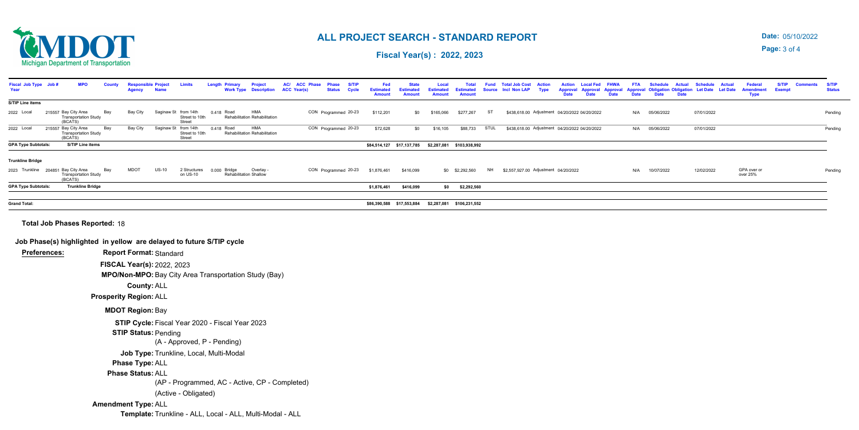### 05/10/2022 **Date:**

**Page:** 3 of 4



## **ALL PROJECT SEARCH - STANDARD REPORT**

**Fiscal Year(s) : 2022, 2023** 

**Template:** Trunkline - ALL, Local - ALL, Multi-Modal - ALL

**Amendment Type:** ALL

| AC/ ACC Phase<br>Fiscal Job Type Job:<br><b>MPO</b><br><b>Responsible Project</b><br><b>S/TIF</b><br><b>Project</b><br><b>Phase</b><br>Countv<br>Limits<br>Lenath<br><b>ACC Year(s)</b><br>Year<br><b>Work Type Description</b><br><b>Status</b><br><b>Cycle</b><br><b>Name</b> | Fed<br><b>Estimated</b><br><b>Amount</b> | <b>State</b><br><b>Estimated</b><br><b>Amount</b> | Local<br><b>Estimated</b><br>Amount                 | <b>Total</b><br><b>Estimated</b><br><b>Amount</b> | <b>Fund</b> | <b>Total Job Cost</b><br>Source Incl Non LAP | <b>Action</b><br><b>Type</b> | <b>Local Fed</b><br><b>FHWA</b><br>Action<br><b>Approval Approval Approval</b><br><b>Date</b><br><b>Date</b><br><b>Date</b> | <b>FTA</b><br><b>Date</b> | <b>Schedule</b><br><b>Actual</b><br><b>Approval Obligation Obligation</b><br><b>Date</b><br><b>Date</b> | <b>Schedule</b><br><b>Let Date</b> | <b>Actual</b><br><b>Let Date</b> | <b>Federal</b><br><b>Amendment</b><br><b>Type</b> | <b>S/TIP</b><br><b>Exempt</b> | <b>Status</b> |
|---------------------------------------------------------------------------------------------------------------------------------------------------------------------------------------------------------------------------------------------------------------------------------|------------------------------------------|---------------------------------------------------|-----------------------------------------------------|---------------------------------------------------|-------------|----------------------------------------------|------------------------------|-----------------------------------------------------------------------------------------------------------------------------|---------------------------|---------------------------------------------------------------------------------------------------------|------------------------------------|----------------------------------|---------------------------------------------------|-------------------------------|---------------|
| <b>S/TIP Line items</b>                                                                                                                                                                                                                                                         |                                          |                                                   |                                                     |                                                   |             |                                              |                              |                                                                                                                             |                           |                                                                                                         |                                    |                                  |                                                   |                               |               |
| <b>HMA</b><br>Saginaw St from 14th<br>CON Programmed 20-23<br>2022 Local<br>215557 Bay City Area<br>Bay<br>Bay City<br>0.418 Road<br><b>Transportation Study</b><br>Rehabilitation Rehabilitation<br>Street to 10th<br>(BCATS)<br>Street                                        | \$112,201                                | \$0                                               | \$165,066                                           | \$277,267                                         | ST          |                                              |                              | \$438,618.00 Adjustment 04/20/2022 04/20/2022                                                                               | N/A                       | 05/06/2022                                                                                              | 07/01/2022                         |                                  |                                                   |                               | Pending       |
| 215557 Bay City Area<br><b>HMA</b><br>Bay<br>Bay City<br>CON Programmed 20-23<br>2022 Local<br>Saginaw St from 14th<br>0.418 Road<br>Rehabilitation Rehabilitation<br><b>Transportation Study</b><br>Street to 10th<br>(BCATS)<br>Street                                        | \$72,628                                 | \$0                                               | \$16,105                                            | \$88,733                                          | STUL        |                                              |                              | \$438,618.00 Adjustment 04/20/2022 04/20/2022                                                                               | N/A                       | 05/06/2022                                                                                              | 07/01/2022                         |                                  |                                                   |                               | Pending       |
| S/TIP Line items<br><b>GPA Type Subtotals:</b>                                                                                                                                                                                                                                  |                                          |                                                   | \$84,514,127 \$17,137,785 \$2,287,081 \$103,938,992 |                                                   |             |                                              |                              |                                                                                                                             |                           |                                                                                                         |                                    |                                  |                                                   |                               |               |
| <b>Trunkline Bridge</b>                                                                                                                                                                                                                                                         |                                          |                                                   |                                                     |                                                   |             |                                              |                              |                                                                                                                             |                           |                                                                                                         |                                    |                                  |                                                   |                               |               |
| 2023 Trunkline 204851 Bay City Area<br>Bay<br><b>MDOT</b><br>$US-10$<br>2 Structures<br>0.000 Bridge<br>Overlay<br>CON Programmed 20-23<br><b>Transportation Study</b><br>on US-10<br><b>Rehabilitation Shallow</b><br>(BCATS)                                                  | \$1,876,461                              | \$416,099                                         |                                                     | \$0 \$2,292,560                                   | <b>NH</b>   | \$2,557,927.00 Adjustment 04/20/2022         |                              |                                                                                                                             | N/A                       | 10/07/2022                                                                                              | 12/02/2022                         |                                  | GPA over or<br>over 25%                           |                               | Pending       |
| <b>GPA Type Subtotals:</b><br><b>Trunkline Bridge</b>                                                                                                                                                                                                                           | \$1,876,461                              | \$416,099                                         |                                                     | \$0 \$2,292,560                                   |             |                                              |                              |                                                                                                                             |                           |                                                                                                         |                                    |                                  |                                                   |                               |               |
|                                                                                                                                                                                                                                                                                 |                                          |                                                   |                                                     |                                                   |             |                                              |                              |                                                                                                                             |                           |                                                                                                         |                                    |                                  |                                                   |                               |               |
| <b>Grand Total:</b>                                                                                                                                                                                                                                                             |                                          | \$86,390,588 \$17,553,884                         |                                                     | \$2,287,081 \$106,231,552                         |             |                                              |                              |                                                                                                                             |                           |                                                                                                         |                                    |                                  |                                                   |                               |               |
| Job Phase(s) highlighted in yellow are delayed to future S/TIP cycle<br><b>Report Format: Standard</b><br><b>Preferences:</b><br>FISCAL Year(s): 2022, 2023<br>MPO/Non-MPO: Bay City Area Transportation Study (Bay)<br><b>County: ALL</b>                                      |                                          |                                                   |                                                     |                                                   |             |                                              |                              |                                                                                                                             |                           |                                                                                                         |                                    |                                  |                                                   |                               |               |
| <b>Prosperity Region: ALL</b>                                                                                                                                                                                                                                                   |                                          |                                                   |                                                     |                                                   |             |                                              |                              |                                                                                                                             |                           |                                                                                                         |                                    |                                  |                                                   |                               |               |
| <b>MDOT Region: Bay</b>                                                                                                                                                                                                                                                         |                                          |                                                   |                                                     |                                                   |             |                                              |                              |                                                                                                                             |                           |                                                                                                         |                                    |                                  |                                                   |                               |               |
| STIP Cycle: Fiscal Year 2020 - Fiscal Year 2023<br><b>STIP Status: Pending</b><br>(A - Approved, P - Pending)                                                                                                                                                                   |                                          |                                                   |                                                     |                                                   |             |                                              |                              |                                                                                                                             |                           |                                                                                                         |                                    |                                  |                                                   |                               |               |
| Job Type: Trunkline, Local, Multi-Modal<br>Phase Type: ALL<br><b>Phase Status: ALL</b>                                                                                                                                                                                          |                                          |                                                   |                                                     |                                                   |             |                                              |                              |                                                                                                                             |                           |                                                                                                         |                                    |                                  |                                                   |                               |               |
| (AP - Programmed, AC - Active, CP - Completed)                                                                                                                                                                                                                                  |                                          |                                                   |                                                     |                                                   |             |                                              |                              |                                                                                                                             |                           |                                                                                                         |                                    |                                  |                                                   |                               |               |
| (Active - Obligated)                                                                                                                                                                                                                                                            |                                          |                                                   |                                                     |                                                   |             |                                              |                              |                                                                                                                             |                           |                                                                                                         |                                    |                                  |                                                   |                               |               |